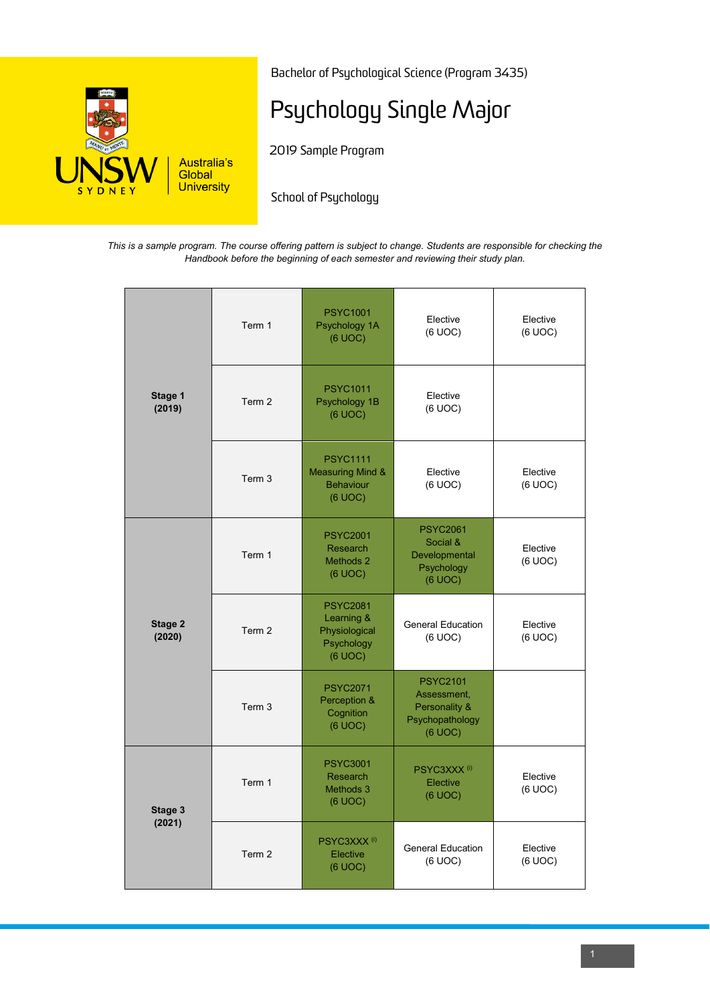

Bachelor of Psychological Science (Program 3435)

# Psychology Single Major

2019 Sample Program

School of Psychology

*This is a sample program. The course offering pattern is subject to change. Students are responsible for checking the Handbook before the beginning of each semester and reviewing their study plan.*

| Stage 1<br>(2019) | Term 1 | <b>PSYC1001</b><br>Psychology 1A<br>(6 UOC)                                   | Elective<br>(6 UOC)                                                           | Elective<br>(6 UOC) |
|-------------------|--------|-------------------------------------------------------------------------------|-------------------------------------------------------------------------------|---------------------|
|                   | Term 2 | <b>PSYC1011</b><br>Psychology 1B<br>(6 UOC)                                   | Elective<br>(6 UOC)                                                           |                     |
|                   | Term 3 | <b>PSYC1111</b><br><b>Measuring Mind &amp;</b><br><b>Behaviour</b><br>(6 UOC) | Elective<br>(6 UOC)                                                           | Elective<br>(6 UOC) |
| Stage 2<br>(2020) | Term 1 | <b>PSYC2001</b><br>Research<br>Methods 2<br>(6 UOC)                           | <b>PSYC2061</b><br>Social &<br>Developmental<br>Psychology<br>(6 UOC)         | Elective<br>(6 UOC) |
|                   | Term 2 | <b>PSYC2081</b><br>Learning &<br>Physiological<br>Psychology<br>(6 UOC)       | <b>General Education</b><br>(6 UOC)                                           | Elective<br>(6 UOC) |
|                   | Term 3 | <b>PSYC2071</b><br>Perception &<br>Cognition<br>(6 UOC)                       | <b>PSYC2101</b><br>Assessment,<br>Personality &<br>Psychopathology<br>(6 UOC) |                     |
| Stage 3<br>(2021) | Term 1 | <b>PSYC3001</b><br><b>Research</b><br>Methods 3<br>(6 UOC)                    | PSYC3XXX <sup>(i)</sup><br>Elective<br>(6 UOC)                                | Elective<br>(6 UOC) |
|                   | Term 2 | PSYC3XXX <sup>(i)</sup><br>Elective<br>$(6$ UOC $)$                           | <b>General Education</b><br>(6 UOC)                                           | Elective<br>(6 UOC) |